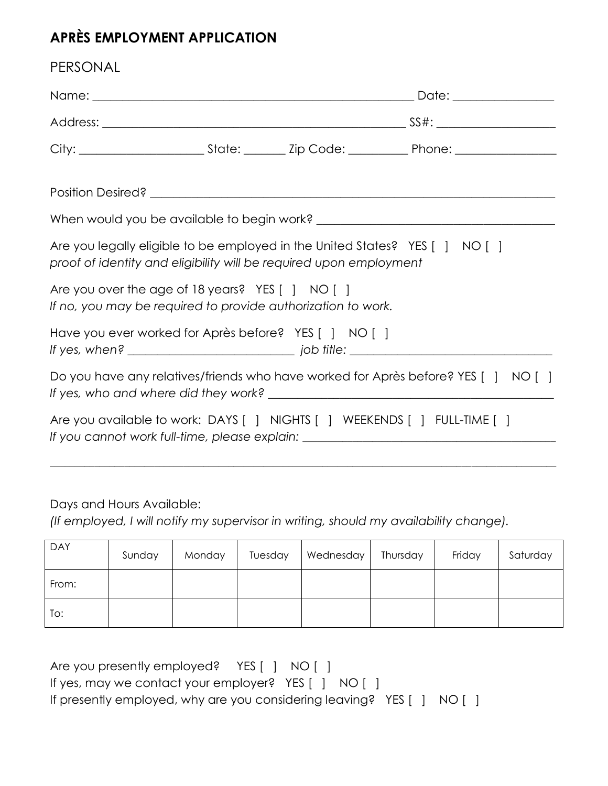## **APRÈS EMPLOYMENT APPLICATION**

| PERSONAL                                                                                                                                           |  |  |                                                                                  |  |
|----------------------------------------------------------------------------------------------------------------------------------------------------|--|--|----------------------------------------------------------------------------------|--|
|                                                                                                                                                    |  |  |                                                                                  |  |
|                                                                                                                                                    |  |  |                                                                                  |  |
|                                                                                                                                                    |  |  |                                                                                  |  |
|                                                                                                                                                    |  |  |                                                                                  |  |
|                                                                                                                                                    |  |  |                                                                                  |  |
| Are you legally eligible to be employed in the United States? YES [ ] NO [ ]<br>proof of identity and eligibility will be required upon employment |  |  |                                                                                  |  |
| Are you over the age of 18 years? $YES$ $ $ NO $ $ $ $<br>If no, you may be required to provide authorization to work.                             |  |  |                                                                                  |  |
| Have you ever worked for Après before? YES [ ] NO [ ]                                                                                              |  |  |                                                                                  |  |
|                                                                                                                                                    |  |  | Do you have any relatives/friends who have worked for Après before? YES [] NO [] |  |
| Are you available to work: DAYS [ ] NIGHTS [ ] WEEKENDS [ ] FULL-TIME [ ]                                                                          |  |  | If you cannot work full-time, please explain: __________________________________ |  |
|                                                                                                                                                    |  |  |                                                                                  |  |

Days and Hours Available:

*(If employed, I will notify my supervisor in writing, should my availability change).*

| <b>DAY</b> | Sunday | Monday | Tuesday | Wednesday | Thursday | Friday | Saturday |
|------------|--------|--------|---------|-----------|----------|--------|----------|
| From:      |        |        |         |           |          |        |          |
| To:        |        |        |         |           |          |        |          |

Are you presently employed? YES [ ] NO [ ] If yes, may we contact your employer? YES [ ] NO [ ] If presently employed, why are you considering leaving? YES [ ] NO [ ]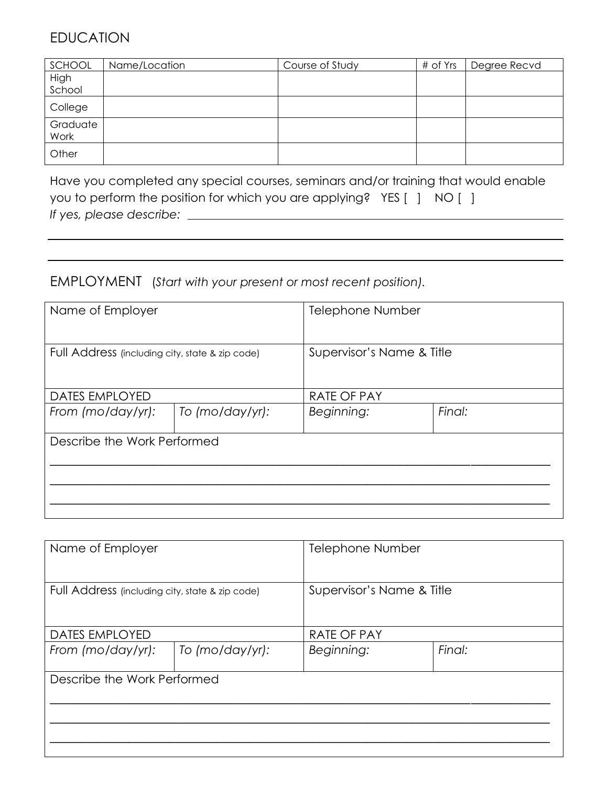## EDUCATION

| SCHOOL   | Name/Location | Course of Study | # of Yrs | Degree Recvd |
|----------|---------------|-----------------|----------|--------------|
| High     |               |                 |          |              |
| School   |               |                 |          |              |
| College  |               |                 |          |              |
| Graduate |               |                 |          |              |
| Work     |               |                 |          |              |
| Other    |               |                 |          |              |

Have you completed any special courses, seminars and/or training that would enable you to perform the position for which you are applying? YES [ ] NO [ ] *If yes, please describe:*

## EMPLOYMENT (*Start with your present or most recent position).*

| Name of Employer                                |                 | <b>Telephone Number</b>   |        |  |
|-------------------------------------------------|-----------------|---------------------------|--------|--|
| Full Address (including city, state & zip code) |                 | Supervisor's Name & Title |        |  |
| DATES EMPLOYED                                  |                 | RATE OF PAY               |        |  |
| From (mo/day/yr):                               | To (mo/day/yr): | Beginning:                | Final: |  |
| Describe the Work Performed                     |                 |                           |        |  |

| Name of Employer                                |                 | <b>Telephone Number</b>   |        |
|-------------------------------------------------|-----------------|---------------------------|--------|
| Full Address (including city, state & zip code) |                 | Supervisor's Name & Title |        |
| <b>DATES EMPLOYED</b>                           |                 | <b>RATE OF PAY</b>        |        |
| From (mo/day/yr):                               | To (mo/day/yr): | Beginning:                | Final: |
| Describe the Work Performed                     |                 |                           |        |
|                                                 |                 |                           |        |
|                                                 |                 |                           |        |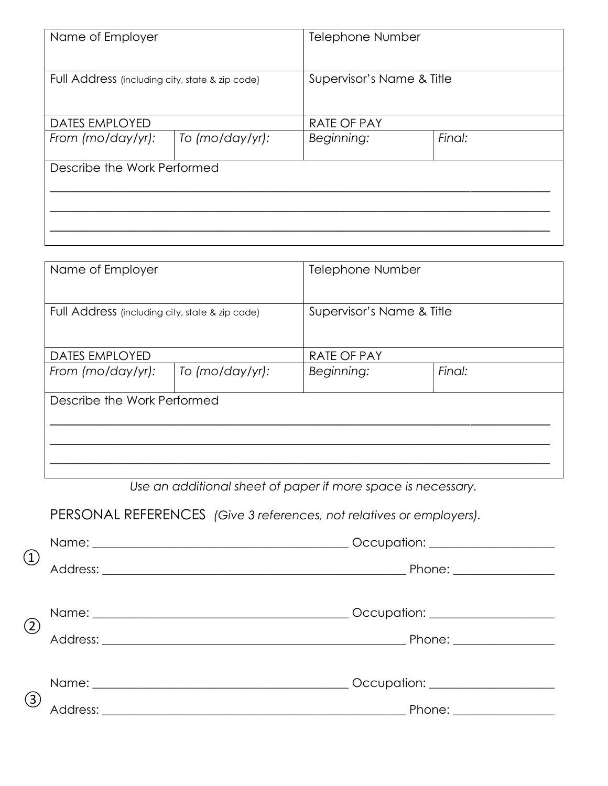| Name of Employer                                |                 | <b>Telephone Number</b>   |        |  |
|-------------------------------------------------|-----------------|---------------------------|--------|--|
| Full Address (including city, state & zip code) |                 | Supervisor's Name & Title |        |  |
| DATES EMPLOYED                                  |                 | <b>RATE OF PAY</b>        |        |  |
| From (mo/day/yr):                               | To (mo/day/yr): |                           | Final: |  |
| Describe the Work Performed                     |                 |                           |        |  |

| Name of Employer                                |  | <b>Telephone Number</b>   |        |  |
|-------------------------------------------------|--|---------------------------|--------|--|
| Full Address (including city, state & zip code) |  | Supervisor's Name & Title |        |  |
| <b>DATES EMPLOYED</b>                           |  | <b>RATE OF PAY</b>        |        |  |
| From (mo/day/yr):<br>To (mo/day/yr):            |  | Beginning:                | Final: |  |
| Describe the Work Performed                     |  |                           |        |  |

*Use an additional sheet of paper if more space is necessary.*

| PERSONAL REFERENCES (Give 3 references, not relatives or employers). |  |  |  |
|----------------------------------------------------------------------|--|--|--|
|----------------------------------------------------------------------|--|--|--|

| $\left( \underline{1} \right)$ | Occupation: ____________________     |  |
|--------------------------------|--------------------------------------|--|
|                                | Phone: ________________              |  |
|                                |                                      |  |
|                                | Occupation: <u>_________________</u> |  |
| (2)                            | Phone: _________________             |  |
|                                |                                      |  |
| (3)                            | Occupation: __________________       |  |
|                                | Phone: ________________              |  |